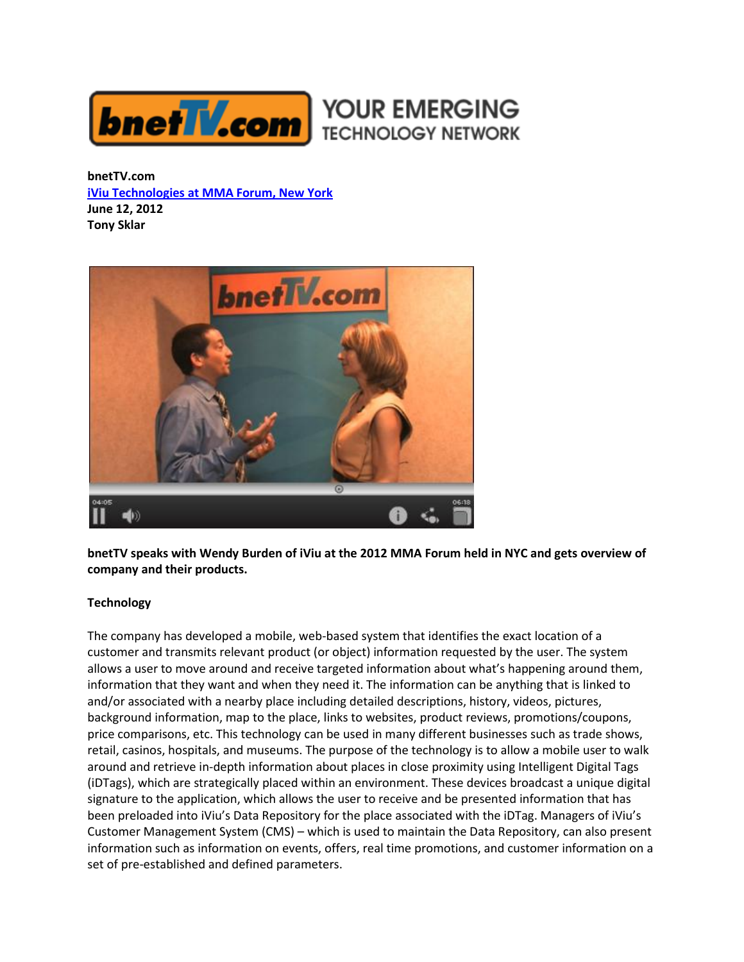

**bnetTV.com [iViu Technologies at MMA Forum, New York](http://www.bnettv.com/iviu-wendy-burden/) June 12, 2012 Tony Sklar**



**bnetTV speaks with Wendy Burden of iViu at the 2012 MMA Forum held in NYC and gets overview of company and their products.**

## **Technology**

The company has developed a mobile, web-based system that identifies the exact location of a customer and transmits relevant product (or object) information requested by the user. The system allows a user to move around and receive targeted information about what's happening around them, information that they want and when they need it. The information can be anything that is linked to and/or associated with a nearby place including detailed descriptions, history, videos, pictures, background information, map to the place, links to websites, product reviews, promotions/coupons, price comparisons, etc. This technology can be used in many different businesses such as trade shows, retail, casinos, hospitals, and museums. The purpose of the technology is to allow a mobile user to walk around and retrieve in-depth information about places in close proximity using Intelligent Digital Tags (iDTags), which are strategically placed within an environment. These devices broadcast a unique digital signature to the application, which allows the user to receive and be presented information that has been preloaded into iViu's Data Repository for the place associated with the iDTag. Managers of iViu's Customer Management System (CMS) – which is used to maintain the Data Repository, can also present information such as information on events, offers, real time promotions, and customer information on a set of pre-established and defined parameters.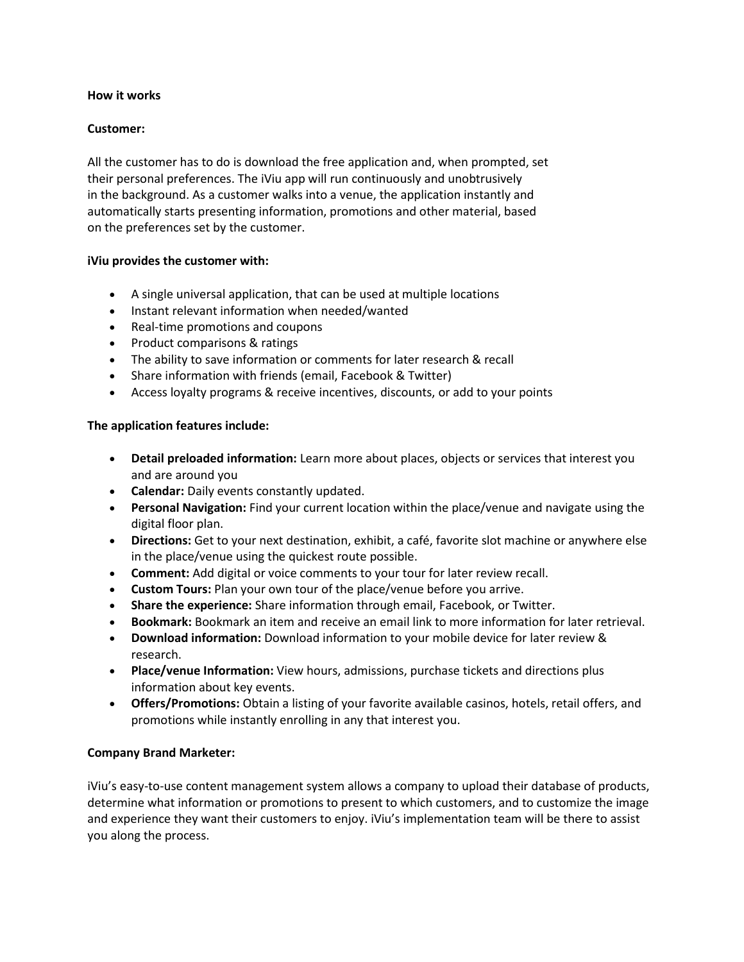### **How it works**

# **Customer:**

All the customer has to do is download the free application and, when prompted, set their personal preferences. The iViu app will run continuously and unobtrusively in the background. As a customer walks into a venue, the application instantly and automatically starts presenting information, promotions and other material, based on the preferences set by the customer.

## **iViu provides the customer with:**

- A single universal application, that can be used at multiple locations
- Instant relevant information when needed/wanted
- Real-time promotions and coupons
- Product comparisons & ratings
- The ability to save information or comments for later research & recall
- Share information with friends (email, Facebook & Twitter)
- Access loyalty programs & receive incentives, discounts, or add to your points

## **The application features include:**

- **Detail preloaded information:** Learn more about places, objects or services that interest you and are around you
- **Calendar:** Daily events constantly updated.
- **Personal Navigation:** Find your current location within the place/venue and navigate using the digital floor plan.
- **Directions:** Get to your next destination, exhibit, a café, favorite slot machine or anywhere else in the place/venue using the quickest route possible.
- **Comment:** Add digital or voice comments to your tour for later review recall.
- **Custom Tours:** Plan your own tour of the place/venue before you arrive.
- **Share the experience:** Share information through email, Facebook, or Twitter.
- **Bookmark:** Bookmark an item and receive an email link to more information for later retrieval.
- **Download information:** Download information to your mobile device for later review & research.
- **Place/venue Information:** View hours, admissions, purchase tickets and directions plus information about key events.
- **Offers/Promotions:** Obtain a listing of your favorite available casinos, hotels, retail offers, and promotions while instantly enrolling in any that interest you.

## **Company Brand Marketer:**

iViu's easy-to-use content management system allows a company to upload their database of products, determine what information or promotions to present to which customers, and to customize the image and experience they want their customers to enjoy. iViu's implementation team will be there to assist you along the process.